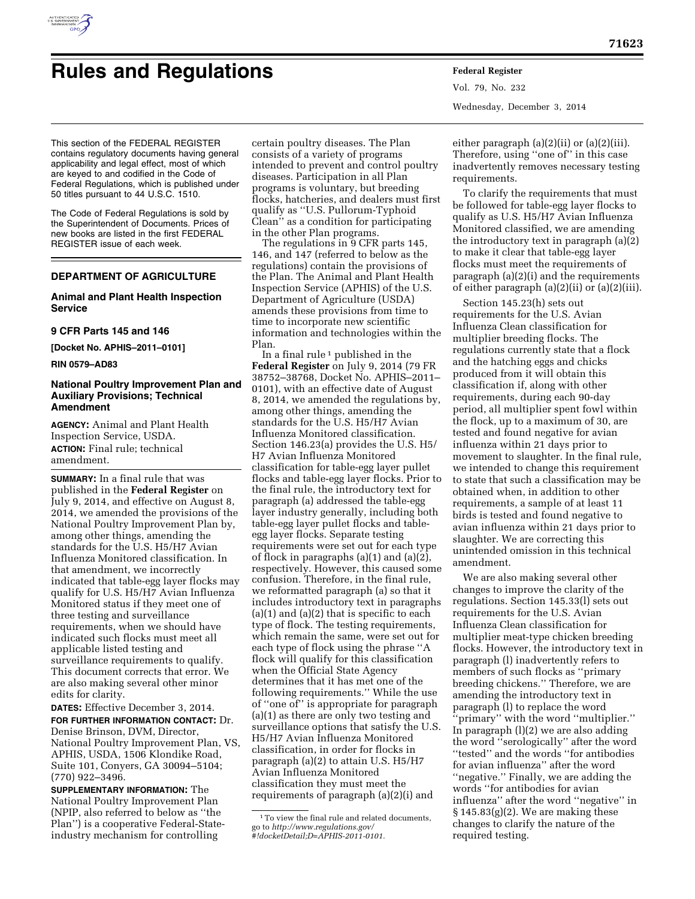

# **Rules and Regulations Federal Register**

Vol. 79, No. 232 Wednesday, December 3, 2014

This section of the FEDERAL REGISTER contains regulatory documents having general applicability and legal effect, most of which are keyed to and codified in the Code of Federal Regulations, which is published under 50 titles pursuant to 44 U.S.C. 1510.

The Code of Federal Regulations is sold by the Superintendent of Documents. Prices of new books are listed in the first FEDERAL REGISTER issue of each week.

### **DEPARTMENT OF AGRICULTURE**

#### **Animal and Plant Health Inspection Service**

#### **9 CFR Parts 145 and 146**

**[Docket No. APHIS–2011–0101]** 

**RIN 0579–AD83** 

#### **National Poultry Improvement Plan and Auxiliary Provisions; Technical Amendment**

**AGENCY:** Animal and Plant Health Inspection Service, USDA. **ACTION:** Final rule; technical amendment.

**SUMMARY:** In a final rule that was published in the **Federal Register** on July 9, 2014, and effective on August 8, 2014, we amended the provisions of the National Poultry Improvement Plan by, among other things, amending the standards for the U.S. H5/H7 Avian Influenza Monitored classification. In that amendment, we incorrectly indicated that table-egg layer flocks may qualify for U.S. H5/H7 Avian Influenza Monitored status if they meet one of three testing and surveillance requirements, when we should have indicated such flocks must meet all applicable listed testing and surveillance requirements to qualify. This document corrects that error. We are also making several other minor edits for clarity.

**DATES:** Effective December 3, 2014.

**FOR FURTHER INFORMATION CONTACT:** Dr. Denise Brinson, DVM, Director, National Poultry Improvement Plan, VS, APHIS, USDA, 1506 Klondike Road, Suite 101, Conyers, GA 30094–5104; (770) 922–3496.

**SUPPLEMENTARY INFORMATION:** The National Poultry Improvement Plan (NPIP, also referred to below as ''the Plan'') is a cooperative Federal-Stateindustry mechanism for controlling

certain poultry diseases. The Plan consists of a variety of programs intended to prevent and control poultry diseases. Participation in all Plan programs is voluntary, but breeding flocks, hatcheries, and dealers must first qualify as ''U.S. Pullorum-Typhoid Clean'' as a condition for participating in the other Plan programs.

The regulations in 9 CFR parts 145, 146, and 147 (referred to below as the regulations) contain the provisions of the Plan. The Animal and Plant Health Inspection Service (APHIS) of the U.S. Department of Agriculture (USDA) amends these provisions from time to time to incorporate new scientific information and technologies within the Plan.

In a final rule<sup> $1$ </sup> published in the **Federal Register** on July 9, 2014 (79 FR 38752–38768, Docket No. APHIS–2011– 0101), with an effective date of August 8, 2014, we amended the regulations by, among other things, amending the standards for the U.S. H5/H7 Avian Influenza Monitored classification. Section 146.23(a) provides the U.S. H5/ H7 Avian Influenza Monitored classification for table-egg layer pullet flocks and table-egg layer flocks. Prior to the final rule, the introductory text for paragraph (a) addressed the table-egg layer industry generally, including both table-egg layer pullet flocks and tableegg layer flocks. Separate testing requirements were set out for each type of flock in paragraphs (a)(1) and (a)(2), respectively. However, this caused some confusion. Therefore, in the final rule, we reformatted paragraph (a) so that it includes introductory text in paragraphs  $(a)(1)$  and  $(a)(2)$  that is specific to each type of flock. The testing requirements, which remain the same, were set out for each type of flock using the phrase ''A flock will qualify for this classification when the Official State Agency determines that it has met one of the following requirements.'' While the use of ''one of'' is appropriate for paragraph (a)(1) as there are only two testing and surveillance options that satisfy the U.S. H5/H7 Avian Influenza Monitored classification, in order for flocks in paragraph (a)(2) to attain U.S. H5/H7 Avian Influenza Monitored classification they must meet the requirements of paragraph (a)(2)(i) and

*[#!docketDetail;D=APHIS-2011-0101.](http://www.regulations.gov/#!docketDetail;D=APHIS-2011-0101)* 

either paragraph  $(a)(2)(ii)$  or  $(a)(2)(iii)$ . Therefore, using ''one of'' in this case inadvertently removes necessary testing requirements.

To clarify the requirements that must be followed for table-egg layer flocks to qualify as U.S. H5/H7 Avian Influenza Monitored classified, we are amending the introductory text in paragraph (a)(2) to make it clear that table-egg layer flocks must meet the requirements of paragraph (a)(2)(i) and the requirements of either paragraph (a)(2)(ii) or (a)(2)(iii).

Section 145.23(h) sets out requirements for the U.S. Avian Influenza Clean classification for multiplier breeding flocks. The regulations currently state that a flock and the hatching eggs and chicks produced from it will obtain this classification if, along with other requirements, during each 90-day period, all multiplier spent fowl within the flock, up to a maximum of 30, are tested and found negative for avian influenza within 21 days prior to movement to slaughter. In the final rule, we intended to change this requirement to state that such a classification may be obtained when, in addition to other requirements, a sample of at least 11 birds is tested and found negative to avian influenza within 21 days prior to slaughter. We are correcting this unintended omission in this technical amendment.

We are also making several other changes to improve the clarity of the regulations. Section 145.33(l) sets out requirements for the U.S. Avian Influenza Clean classification for multiplier meat-type chicken breeding flocks. However, the introductory text in paragraph (l) inadvertently refers to members of such flocks as ''primary breeding chickens.'' Therefore, we are amending the introductory text in paragraph (l) to replace the word 'primary'' with the word "multiplier." In paragraph  $(l)(2)$  we are also adding the word ''serologically'' after the word ''tested'' and the words ''for antibodies for avian influenza'' after the word ''negative.'' Finally, we are adding the words ''for antibodies for avian influenza'' after the word ''negative'' in  $§ 145.83(g)(2)$ . We are making these changes to clarify the nature of the required testing.

<sup>&</sup>lt;sup>1</sup>To view the final rule and related documents, go to *[http://www.regulations.gov/](http://www.regulations.gov/#!docketDetail;D=APHIS-2011-0101)*